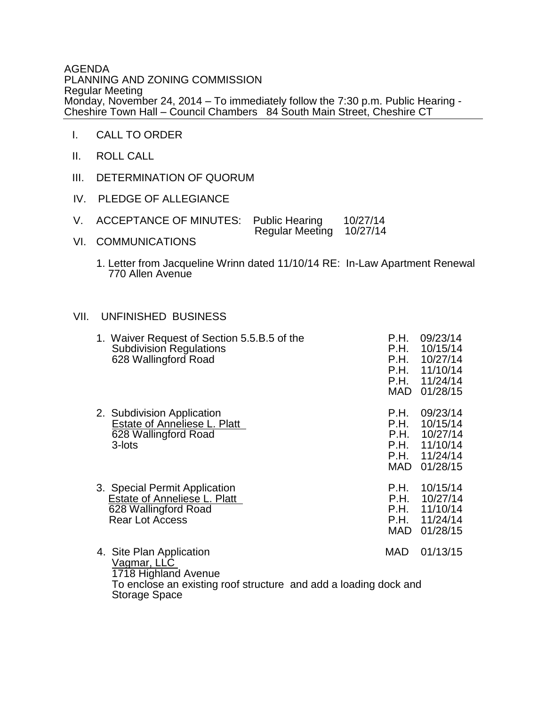AGENDA PLANNING AND ZONING COMMISSION Regular Meeting Monday, November 24, 2014 – To immediately follow the 7:30 p.m. Public Hearing - Cheshire Town Hall – Council Chambers 84 South Main Street, Cheshire CT

- I. CALL TO ORDER
- II. ROLL CALL
- III. DETERMINATION OF QUORUM
- IV. PLEDGE OF ALLEGIANCE
- V. ACCEPTANCE OF MINUTES: Public Hearing 10/27/14 Regular Meeting 10/27/14
- VI. COMMUNICATIONS
	- 1. Letter from Jacqueline Wrinn dated 11/10/14 RE: In-Law Apartment Renewal 770 Allen Avenue

## VII. UNFINISHED BUSINESS

| 1. Waiver Request of Section 5.5.B.5 of the<br><b>Subdivision Regulations</b><br>628 Wallingford Road                               | P.H.<br>P.H.        | 09/23/14<br>10/15/14<br>P.H. 10/27/14<br>P.H. 11/10/14<br>P.H. 11/24/14<br>MAD 01/28/15 |
|-------------------------------------------------------------------------------------------------------------------------------------|---------------------|-----------------------------------------------------------------------------------------|
| 2. Subdivision Application<br>Estate of Anneliese L. Platt<br>628 Wallingford Road<br>3-lots                                        | P.H.<br>P.H.        | 09/23/14<br>10/15/14<br>P.H. 10/27/14<br>P.H. 11/10/14<br>P.H. 11/24/14<br>MAD 01/28/15 |
| 3. Special Permit Application<br><b>Estate of Anneliese L. Platt</b><br>628 Wallingford Road<br><b>Rear Lot Access</b>              | P.H.<br>P.H.<br>MAD | 10/15/14<br>10/27/14<br>P.H. 11/10/14<br>P.H. 11/24/14<br>01/28/15                      |
| 4. Site Plan Application<br>Vagmar, LLC<br>1718 Highland Avenue<br>To enclose an existing roof structure and add a loading dock and | MAD                 | 01/13/15                                                                                |

Storage Space